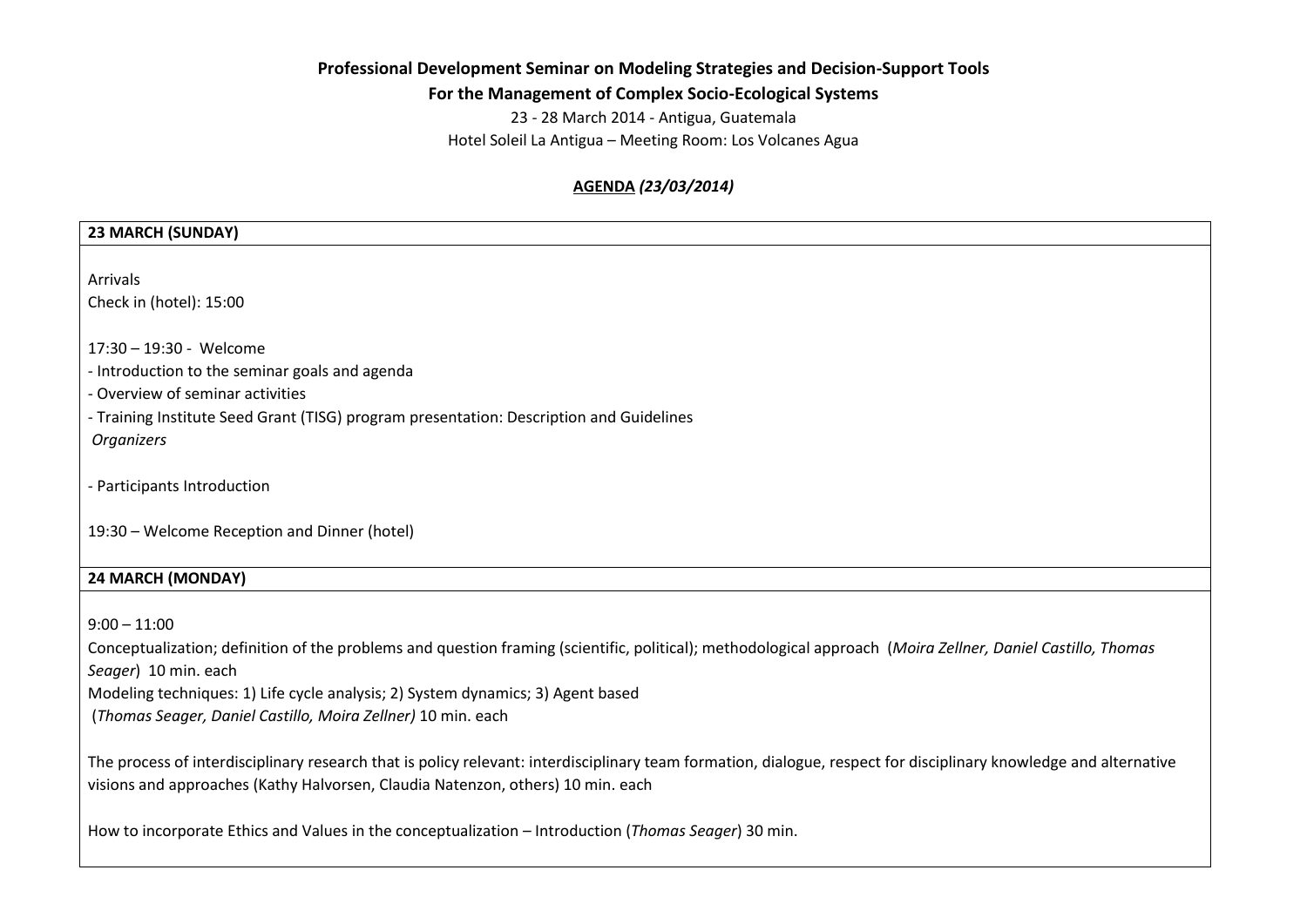# **Professional Development Seminar on Modeling Strategies and Decision-Support Tools**

**For the Management of Complex Socio-Ecological Systems**

23 - 28 March 2014 - Antigua, Guatemala Hotel Soleil La Antigua – Meeting Room: Los Volcanes Agua

# **AGENDA** *(23/03/2014)*

# **23 MARCH (SUNDAY)** Arrivals Check in (hotel): 15:00 17:30 – 19:30 - Welcome - Introduction to the seminar goals and agenda - Overview of seminar activities - Training Institute Seed Grant (TISG) program presentation: Description and Guidelines *Organizers*  - Participants Introduction 19:30 – Welcome Reception and Dinner (hotel) **24 MARCH (MONDAY)**  $9:00 - 11:00$ Conceptualization; definition of the problems and question framing (scientific, political); methodological approach (*Moira Zellner, Daniel Castillo, Thomas Seager*) 10 min. each Modeling techniques: 1) Life cycle analysis; 2) System dynamics; 3) Agent based (*Thomas Seager, Daniel Castillo, Moira Zellner)* 10 min. each The process of interdisciplinary research that is policy relevant: interdisciplinary team formation, dialogue, respect for disciplinary knowledge and alternative visions and approaches (Kathy Halvorsen, Claudia Natenzon, others) 10 min. each

How to incorporate Ethics and Values in the conceptualization – Introduction (*Thomas Seager*) 30 min.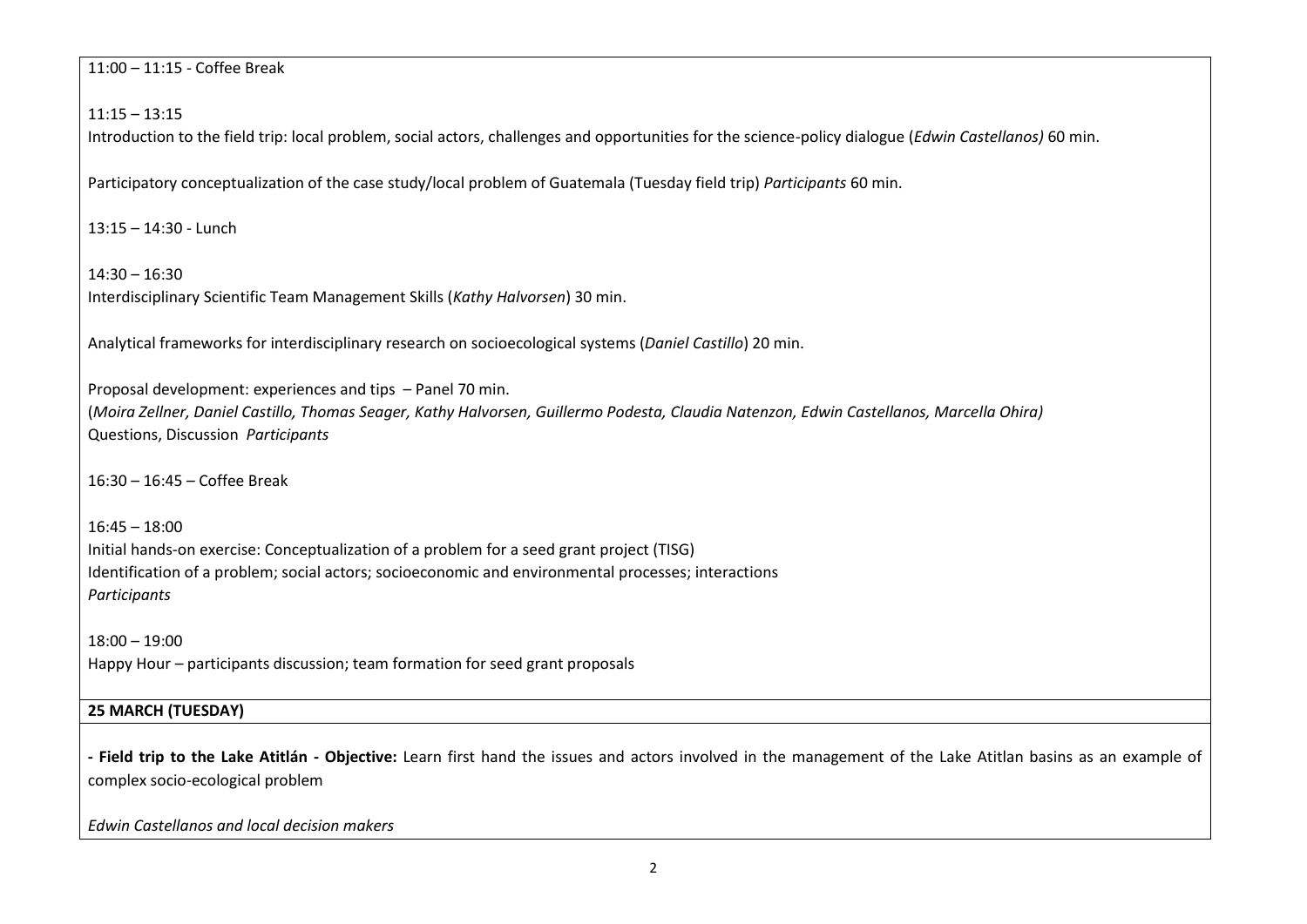11:00 – 11:15 - Coffee Break

11:15 – 13:15

Introduction to the field trip: local problem, social actors, challenges and opportunities for the science-policy dialogue (*Edwin Castellanos)* 60 min.

Participatory conceptualization of the case study/local problem of Guatemala (Tuesday field trip) *Participants* 60 min.

13:15 – 14:30 - Lunch

14:30 – 16:30 Interdisciplinary Scientific Team Management Skills (*Kathy Halvorsen*) 30 min.

Analytical frameworks for interdisciplinary research on socioecological systems (*Daniel Castillo*) 20 min.

Proposal development: experiences and tips – Panel 70 min. (*Moira Zellner, Daniel Castillo, Thomas Seager, Kathy Halvorsen, Guillermo Podesta, Claudia Natenzon, Edwin Castellanos, Marcella Ohira)*  Questions, Discussion *Participants*

16:30 – 16:45 – Coffee Break

16:45 – 18:00 Initial hands-on exercise: Conceptualization of a problem for a seed grant project (TISG) Identification of a problem; social actors; socioeconomic and environmental processes; interactions *Participants*

18:00 – 19:00 Happy Hour – participants discussion; team formation for seed grant proposals

## **25 MARCH (TUESDAY)**

**- Field trip to the Lake Atitlán - Objective:** Learn first hand the issues and actors involved in the management of the Lake Atitlan basins as an example of complex socio-ecological problem

*Edwin Castellanos and local decision makers*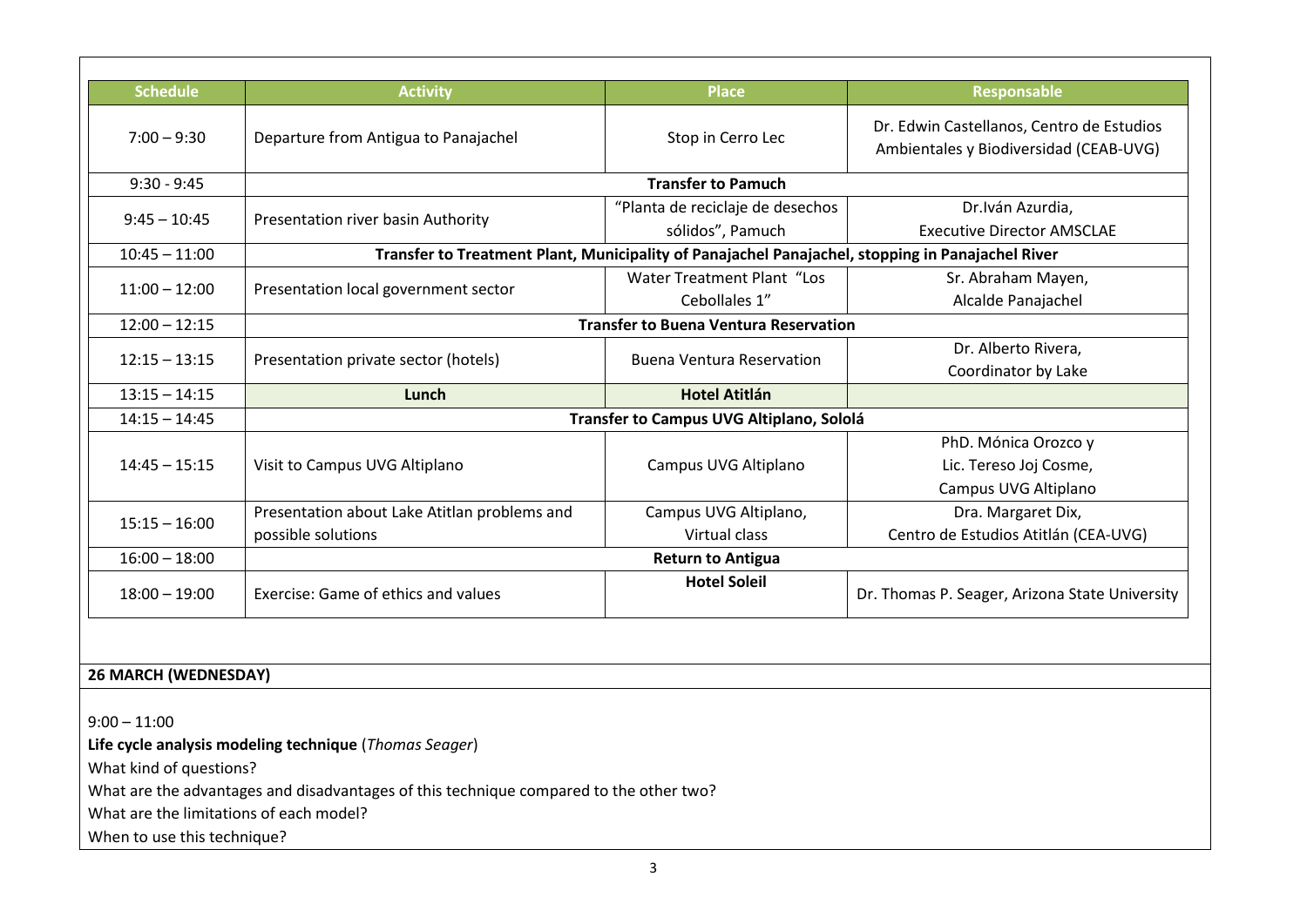| <b>Schedule</b> | <b>Activity</b>                                                                                  | <b>Place</b>                      | Responsable                                                                         |
|-----------------|--------------------------------------------------------------------------------------------------|-----------------------------------|-------------------------------------------------------------------------------------|
| $7:00 - 9:30$   | Departure from Antigua to Panajachel                                                             | Stop in Cerro Lec                 | Dr. Edwin Castellanos, Centro de Estudios<br>Ambientales y Biodiversidad (CEAB-UVG) |
| $9:30 - 9:45$   | <b>Transfer to Pamuch</b>                                                                        |                                   |                                                                                     |
| $9:45 - 10:45$  | Presentation river basin Authority                                                               | "Planta de reciclaje de desechos  | Dr. Iván Azurdia,                                                                   |
|                 |                                                                                                  | sólidos", Pamuch                  | <b>Executive Director AMSCLAE</b>                                                   |
| $10:45 - 11:00$ | Transfer to Treatment Plant, Municipality of Panajachel Panajachel, stopping in Panajachel River |                                   |                                                                                     |
| $11:00 - 12:00$ | Presentation local government sector                                                             | <b>Water Treatment Plant "Los</b> | Sr. Abraham Mayen,                                                                  |
|                 |                                                                                                  | Cebollales 1"                     | Alcalde Panajachel                                                                  |
| $12:00 - 12:15$ | <b>Transfer to Buena Ventura Reservation</b>                                                     |                                   |                                                                                     |
| $12:15 - 13:15$ | Presentation private sector (hotels)                                                             | <b>Buena Ventura Reservation</b>  | Dr. Alberto Rivera,                                                                 |
|                 |                                                                                                  |                                   | Coordinator by Lake                                                                 |
| $13:15 - 14:15$ | Lunch                                                                                            | <b>Hotel Atitlán</b>              |                                                                                     |
| $14:15 - 14:45$ | Transfer to Campus UVG Altiplano, Sololá                                                         |                                   |                                                                                     |
| $14:45 - 15:15$ | Visit to Campus UVG Altiplano                                                                    | Campus UVG Altiplano              | PhD. Mónica Orozco y                                                                |
|                 |                                                                                                  |                                   | Lic. Tereso Joj Cosme,                                                              |
|                 |                                                                                                  |                                   | Campus UVG Altiplano                                                                |
| $15:15 - 16:00$ | Presentation about Lake Atitlan problems and                                                     | Campus UVG Altiplano,             | Dra. Margaret Dix,                                                                  |
|                 | possible solutions                                                                               | Virtual class                     | Centro de Estudios Atitlán (CEA-UVG)                                                |
| $16:00 - 18:00$ | <b>Return to Antigua</b>                                                                         |                                   |                                                                                     |
| $18:00 - 19:00$ | Exercise: Game of ethics and values                                                              | <b>Hotel Soleil</b>               | Dr. Thomas P. Seager, Arizona State University                                      |

# **26 MARCH (WEDNESDAY)**

 $9:00 - 11:00$ **Life cycle analysis modeling technique** (*Thomas Seager*) What kind of questions? What are the advantages and disadvantages of this technique compared to the other two? What are the limitations of each model? When to use this technique?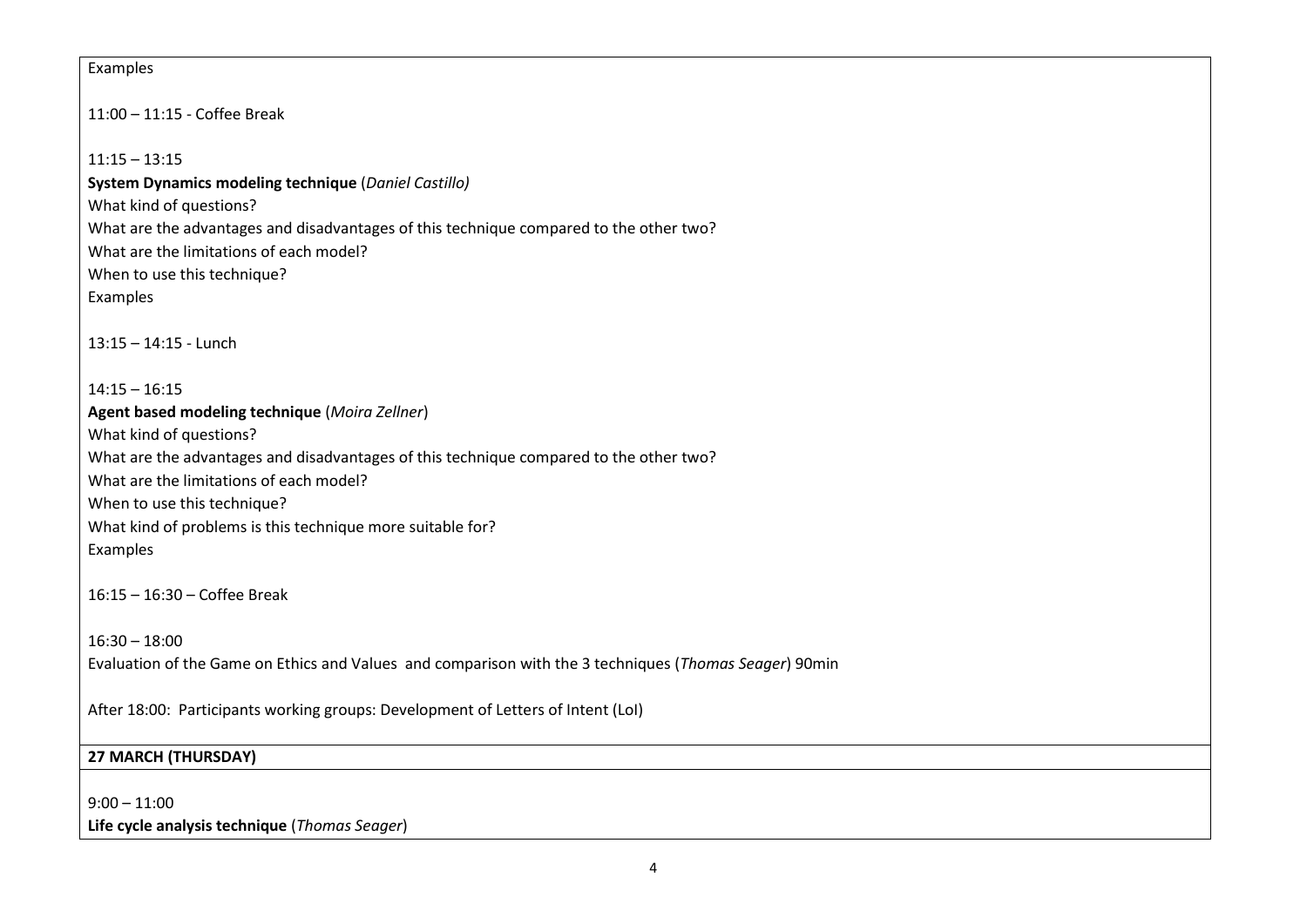#### Examples

11:00 – 11:15 - Coffee Break

 $11:15 - 13:15$ 

**System Dynamics modeling technique** (*Daniel Castillo)* What kind of questions? What are the advantages and disadvantages of this technique compared to the other two? What are the limitations of each model? When to use this technique? Examples

13:15 – 14:15 - Lunch

 $14:15 - 16:15$ **Agent based modeling technique** (*Moira Zellner*) What kind of questions? What are the advantages and disadvantages of this technique compared to the other two? What are the limitations of each model? When to use this technique? What kind of problems is this technique more suitable for? Examples

16:15 – 16:30 – Coffee Break

16:30 – 18:00 Evaluation of the Game on Ethics and Values and comparison with the 3 techniques (*Thomas Seager*) 90min

After 18:00: Participants working groups: Development of Letters of Intent (LoI)

### **27 MARCH (THURSDAY)**

 $9:00 - 11:00$ **Life cycle analysis technique** (*Thomas Seager*)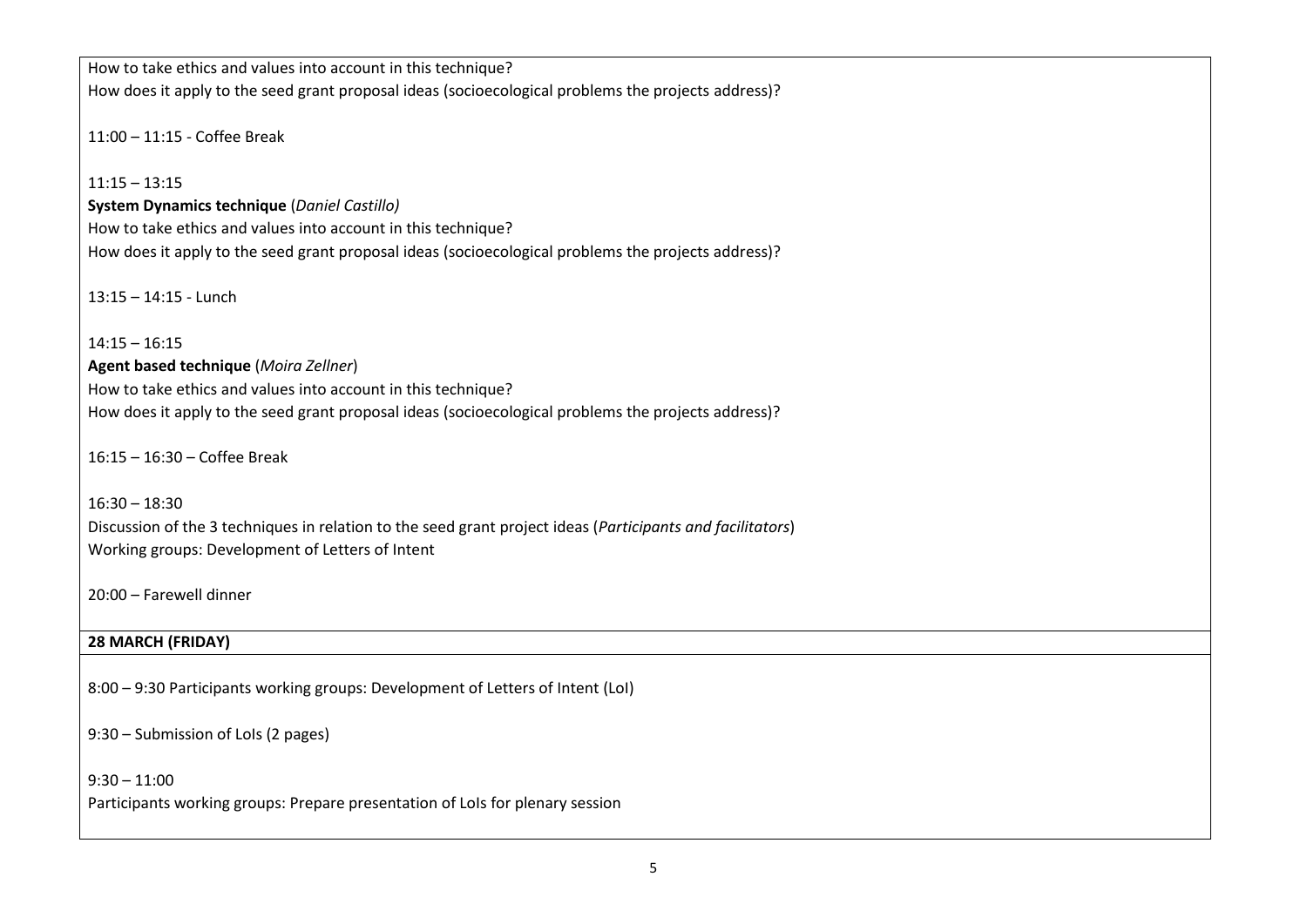How to take ethics and values into account in this technique? How does it apply to the seed grant proposal ideas (socioecological problems the projects address)?

11:00 – 11:15 - Coffee Break

 $11:15 - 13:15$ 

**System Dynamics technique** (*Daniel Castillo)* How to take ethics and values into account in this technique? How does it apply to the seed grant proposal ideas (socioecological problems the projects address)?

13:15 – 14:15 - Lunch

 $14:15 - 16:15$ **Agent based technique** (*Moira Zellner*) How to take ethics and values into account in this technique? How does it apply to the seed grant proposal ideas (socioecological problems the projects address)?

16:15 – 16:30 – Coffee Break

16:30 – 18:30 Discussion of the 3 techniques in relation to the seed grant project ideas (*Participants and facilitators*) Working groups: Development of Letters of Intent

20:00 – Farewell dinner

## **28 MARCH (FRIDAY)**

8:00 – 9:30 Participants working groups: Development of Letters of Intent (LoI)

9:30 – Submission of LoIs (2 pages)

 $9:30 - 11:00$ Participants working groups: Prepare presentation of LoIs for plenary session